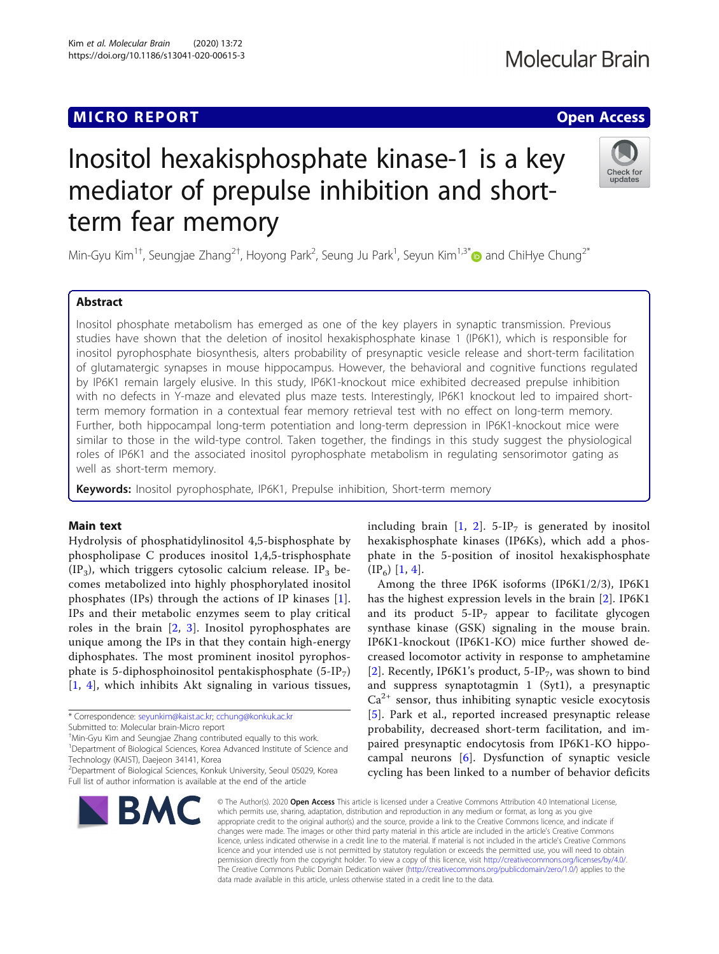### MICRO REPORT AND INTERNATIONAL CONTRACT CONTRACT OF THE CONTRACT OF THE CONTRACT OF THE CONTRACT OF THE CONTRACT OF THE CONTRACT OF THE CONTRACT OF THE CONTRACT OF THE CONTRACT OF THE CONTRACT OF THE CONTRACT OF THE CONTRA

## Check for undates

# Inositol hexakisphosphate kinase-1 is a key mediator of prepulse inhibition and shortterm fear memory

Min-Gyu Kim<sup>1†</sup>, Seungjae Zhang<sup>2†</sup>, Hoyong Park<sup>2</sup>, Seung Ju Park<sup>1</sup>, Seyun Kim<sup>1,3[\\*](http://orcid.org/0000-0003-0110-9414)</sup>@ and ChiHye Chung<sup>2\*</sup>

#### Abstract

Inositol phosphate metabolism has emerged as one of the key players in synaptic transmission. Previous studies have shown that the deletion of inositol hexakisphosphate kinase 1 (IP6K1), which is responsible for inositol pyrophosphate biosynthesis, alters probability of presynaptic vesicle release and short-term facilitation of glutamatergic synapses in mouse hippocampus. However, the behavioral and cognitive functions regulated by IP6K1 remain largely elusive. In this study, IP6K1-knockout mice exhibited decreased prepulse inhibition with no defects in Y-maze and elevated plus maze tests. Interestingly, IP6K1 knockout led to impaired shortterm memory formation in a contextual fear memory retrieval test with no effect on long-term memory. Further, both hippocampal long-term potentiation and long-term depression in IP6K1-knockout mice were similar to those in the wild-type control. Taken together, the findings in this study suggest the physiological roles of IP6K1 and the associated inositol pyrophosphate metabolism in regulating sensorimotor gating as well as short-term memory.

Keywords: Inositol pyrophosphate, IP6K1, Prepulse inhibition, Short-term memory

#### Main text

Hydrolysis of phosphatidylinositol 4,5-bisphosphate by phospholipase C produces inositol 1,4,5-trisphosphate  $(IP_3)$ , which triggers cytosolic calcium release. IP<sub>3</sub> becomes metabolized into highly phosphorylated inositol phosphates (IPs) through the actions of IP kinases [[1](#page-3-0)]. IPs and their metabolic enzymes seem to play critical roles in the brain [[2,](#page-3-0) [3\]](#page-3-0). Inositol pyrophosphates are unique among the IPs in that they contain high-energy diphosphates. The most prominent inositol pyrophosphate is 5-diphosphoinositol pentakisphosphate  $(5-IP_7)$ [[1](#page-3-0), [4\]](#page-3-0), which inhibits Akt signaling in various tissues,

<sup>1</sup>Department of Biological Sciences, Korea Advanced Institute of Science and Technology (KAIST), Daejeon 34141, Korea

Full list of author information is available at the end of the article



including brain  $[1, 2]$  $[1, 2]$  $[1, 2]$  $[1, 2]$  $[1, 2]$ . 5-IP<sub>7</sub> is generated by inositol hexakisphosphate kinases (IP6Ks), which add a phosphate in the 5-position of inositol hexakisphosphate  $(IP_6)$  [[1,](#page-3-0) [4\]](#page-3-0).

Among the three IP6K isoforms (IP6K1/2/3), IP6K1 has the highest expression levels in the brain [\[2](#page-3-0)]. IP6K1 and its product  $5-IP<sub>7</sub>$  appear to facilitate glycogen synthase kinase (GSK) signaling in the mouse brain. IP6K1-knockout (IP6K1-KO) mice further showed decreased locomotor activity in response to amphetamine [[2](#page-3-0)]. Recently, IP6K1's product,  $5-IP_7$ , was shown to bind and suppress synaptotagmin 1 (Syt1), a presynaptic  $Ca<sup>2+</sup>$  sensor, thus inhibiting synaptic vesicle exocytosis [[5](#page-3-0)]. Park et al., reported increased presynaptic release probability, decreased short-term facilitation, and impaired presynaptic endocytosis from IP6K1-KO hippocampal neurons [[6\]](#page-3-0). Dysfunction of synaptic vesicle cycling has been linked to a number of behavior deficits

© The Author(s), 2020 **Open Access** This article is licensed under a Creative Commons Attribution 4.0 International License, which permits use, sharing, adaptation, distribution and reproduction in any medium or format, as long as you give appropriate credit to the original author(s) and the source, provide a link to the Creative Commons licence, and indicate if changes were made. The images or other third party material in this article are included in the article's Creative Commons licence, unless indicated otherwise in a credit line to the material. If material is not included in the article's Creative Commons licence and your intended use is not permitted by statutory regulation or exceeds the permitted use, you will need to obtain permission directly from the copyright holder. To view a copy of this licence, visit [http://creativecommons.org/licenses/by/4.0/.](http://creativecommons.org/licenses/by/4.0/) The Creative Commons Public Domain Dedication waiver [\(http://creativecommons.org/publicdomain/zero/1.0/](http://creativecommons.org/publicdomain/zero/1.0/)) applies to the data made available in this article, unless otherwise stated in a credit line to the data.

<sup>\*</sup> Correspondence: [seyunkim@kaist.ac.kr;](mailto:seyunkim@kaist.ac.kr) [cchung@konkuk.ac.kr](mailto:cchung@konkuk.ac.kr)

Submitted to: Molecular brain-Micro report

<sup>†</sup> Min-Gyu Kim and Seungjae Zhang contributed equally to this work.

<sup>2</sup> Department of Biological Sciences, Konkuk University, Seoul 05029, Korea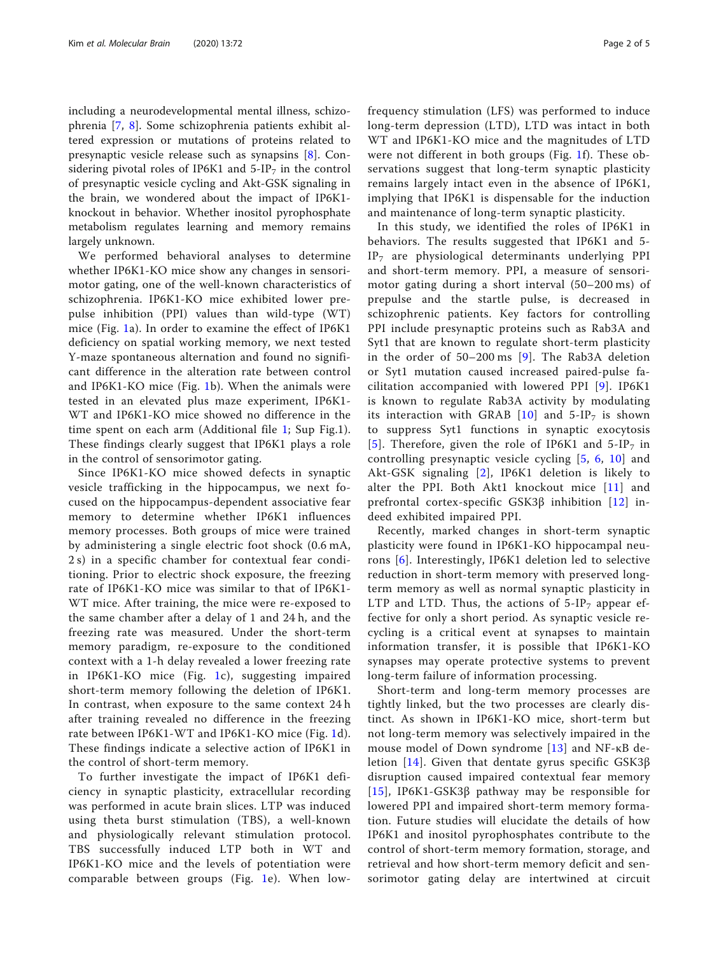including a neurodevelopmental mental illness, schizophrenia [[7,](#page-3-0) [8\]](#page-3-0). Some schizophrenia patients exhibit altered expression or mutations of proteins related to presynaptic vesicle release such as synapsins [[8\]](#page-3-0). Considering pivotal roles of IP6K1 and  $5-IP<sub>7</sub>$  in the control of presynaptic vesicle cycling and Akt-GSK signaling in the brain, we wondered about the impact of IP6K1 knockout in behavior. Whether inositol pyrophosphate metabolism regulates learning and memory remains largely unknown.

We performed behavioral analyses to determine whether IP6K1-KO mice show any changes in sensorimotor gating, one of the well-known characteristics of schizophrenia. IP6K1-KO mice exhibited lower prepulse inhibition (PPI) values than wild-type (WT) mice (Fig. [1](#page-3-0)a). In order to examine the effect of IP6K1 deficiency on spatial working memory, we next tested Y-maze spontaneous alternation and found no significant difference in the alteration rate between control and IP6K1-KO mice (Fig. [1](#page-3-0)b). When the animals were tested in an elevated plus maze experiment, IP6K1- WT and IP6K1-KO mice showed no difference in the time spent on each arm (Additional file [1;](#page-3-0) Sup Fig.1). These findings clearly suggest that IP6K1 plays a role in the control of sensorimotor gating.

Since IP6K1-KO mice showed defects in synaptic vesicle trafficking in the hippocampus, we next focused on the hippocampus-dependent associative fear memory to determine whether IP6K1 influences memory processes. Both groups of mice were trained by administering a single electric foot shock (0.6 mA, 2 s) in a specific chamber for contextual fear conditioning. Prior to electric shock exposure, the freezing rate of IP6K1-KO mice was similar to that of IP6K1- WT mice. After training, the mice were re-exposed to the same chamber after a delay of 1 and 24 h, and the freezing rate was measured. Under the short-term memory paradigm, re-exposure to the conditioned context with a 1-h delay revealed a lower freezing rate in IP6K1-KO mice (Fig. [1c](#page-3-0)), suggesting impaired short-term memory following the deletion of IP6K1. In contrast, when exposure to the same context 24 h after training revealed no difference in the freezing rate between IP6K1-WT and IP6K1-KO mice (Fig. [1d](#page-3-0)). These findings indicate a selective action of IP6K1 in the control of short-term memory.

To further investigate the impact of IP6K1 deficiency in synaptic plasticity, extracellular recording was performed in acute brain slices. LTP was induced using theta burst stimulation (TBS), a well-known and physiologically relevant stimulation protocol. TBS successfully induced LTP both in WT and IP6K1-KO mice and the levels of potentiation were comparable between groups (Fig. [1e](#page-3-0)). When lowfrequency stimulation (LFS) was performed to induce long-term depression (LTD), LTD was intact in both WT and IP6K1-KO mice and the magnitudes of LTD were not different in both groups (Fig. [1f](#page-3-0)). These observations suggest that long-term synaptic plasticity remains largely intact even in the absence of IP6K1, implying that IP6K1 is dispensable for the induction and maintenance of long-term synaptic plasticity.

In this study, we identified the roles of IP6K1 in behaviors. The results suggested that IP6K1 and 5- IP7 are physiological determinants underlying PPI and short-term memory. PPI, a measure of sensorimotor gating during a short interval (50–200 ms) of prepulse and the startle pulse, is decreased in schizophrenic patients. Key factors for controlling PPI include presynaptic proteins such as Rab3A and Syt1 that are known to regulate short-term plasticity in the order of 50–200 ms [[9\]](#page-3-0). The Rab3A deletion or Syt1 mutation caused increased paired-pulse facilitation accompanied with lowered PPI [\[9\]](#page-3-0). IP6K1 is known to regulate Rab3A activity by modulating its interaction with GRAB  $[10]$  $[10]$  $[10]$  and 5-IP<sub>7</sub> is shown to suppress Syt1 functions in synaptic exocytosis [[5](#page-3-0)]. Therefore, given the role of IP6K1 and  $5-IP<sub>7</sub>$  in controlling presynaptic vesicle cycling [[5](#page-3-0), [6](#page-3-0), [10](#page-3-0)] and Akt-GSK signaling [[2\]](#page-3-0), IP6K1 deletion is likely to alter the PPI. Both Akt1 knockout mice [\[11\]](#page-3-0) and prefrontal cortex-specific  $GSK3\beta$  inhibition [[12\]](#page-3-0) indeed exhibited impaired PPI.

Recently, marked changes in short-term synaptic plasticity were found in IP6K1-KO hippocampal neurons [[6\]](#page-3-0). Interestingly, IP6K1 deletion led to selective reduction in short-term memory with preserved longterm memory as well as normal synaptic plasticity in LTP and LTD. Thus, the actions of  $5-IP<sub>7</sub>$  appear effective for only a short period. As synaptic vesicle recycling is a critical event at synapses to maintain information transfer, it is possible that IP6K1-KO synapses may operate protective systems to prevent long-term failure of information processing.

Short-term and long-term memory processes are tightly linked, but the two processes are clearly distinct. As shown in IP6K1-KO mice, short-term but not long-term memory was selectively impaired in the mouse model of Down syndrome [[13\]](#page-3-0) and NF-κB deletion [[14](#page-3-0)]. Given that dentate gyrus specific GSK3β disruption caused impaired contextual fear memory [[15](#page-4-0)], IP6K1-GSK3β pathway may be responsible for lowered PPI and impaired short-term memory formation. Future studies will elucidate the details of how IP6K1 and inositol pyrophosphates contribute to the control of short-term memory formation, storage, and retrieval and how short-term memory deficit and sensorimotor gating delay are intertwined at circuit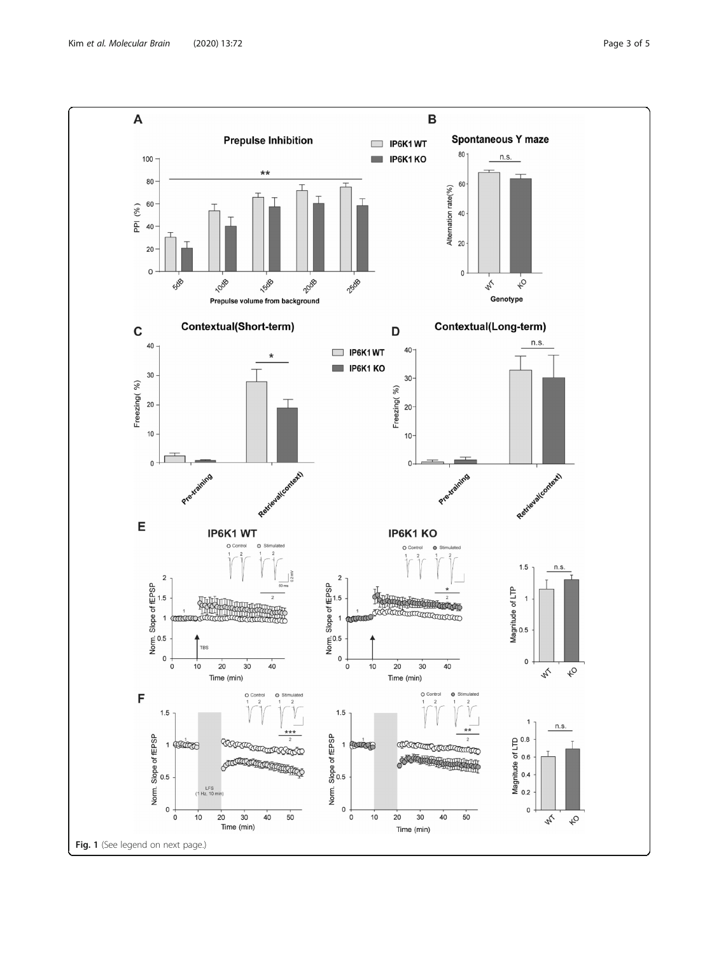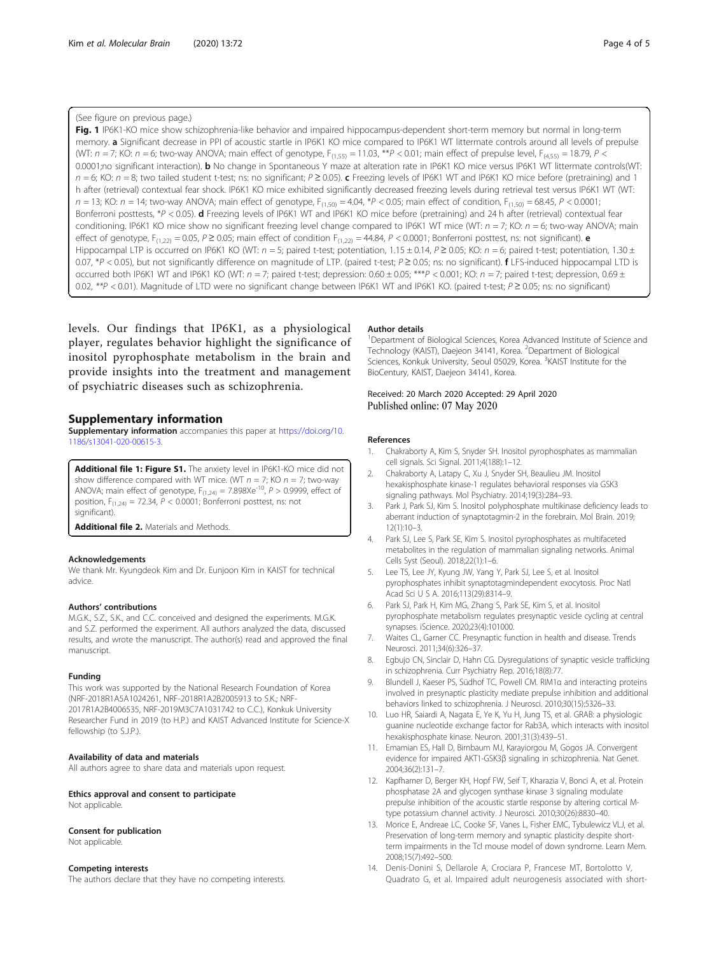#### <span id="page-3-0"></span>(See figure on previous page.)

Fig. 1 IP6K1-KO mice show schizophrenia-like behavior and impaired hippocampus-dependent short-term memory but normal in long-term memory. a Significant decrease in PPI of acoustic startle in IP6K1 KO mice compared to IP6K1 WT littermate controls around all levels of prepulse (WT:  $n = 7$ ; KO:  $n = 6$ ; two-way ANOVA; main effect of genotype,  $F_{(1,55)} = 11.03$ , \*\* $P < 0.01$ ; main effect of prepulse level,  $F_{(4,55)} = 18.79$ ,  $P < 0.01$ ; 0.0001;no significant interaction). **b** No change in Spontaneous Y maze at alteration rate in IP6K1 KO mice versus IP6K1 WT littermate controls(WT:  $n = 6$ ; KO:  $n = 8$ ; two tailed student t-test; ns: no significant;  $P \ge 0.05$ ). c Freezing levels of IP6K1 WT and IP6K1 KO mice before (pretraining) and 1 h after (retrieval) contextual fear shock. IP6K1 KO mice exhibited significantly decreased freezing levels during retrieval test versus IP6K1 WT (WT:  $n = 13$ ; KO:  $n = 14$ ; two-way ANOVA; main effect of genotype,  $F_{(1,50)} = 4.04$ ,  $*P < 0.05$ ; main effect of condition,  $F_{(1,50)} = 68.45$ ,  $P < 0.0001$ ; Bonferroni posttests, \*P < 0.05). d Freezing levels of IP6K1 WT and IP6K1 KO mice before (pretraining) and 24 h after (retrieval) contextual fear conditioning. IP6K1 KO mice show no significant freezing level change compared to IP6K1 WT mice (WT:  $n = 7$ ; KO:  $n = 6$ ; two-way ANOVA; main effect of genotype,  $F_{(1,22)} = 0.05$ ,  $P \ge 0.05$ ; main effect of condition  $F_{(1,22)} = 44.84$ ,  $P < 0.0001$ ; Bonferroni posttest, ns: not significant). **e** Hippocampal LTP is occurred on IP6K1 KO (WT:  $n = 5$ ; paired t-test; potentiation, 1.15 ± 0.14, P ≥ 0.05; KO:  $n = 6$ ; paired t-test; potentiation, 1.30 ± 0.07, \*P < 0.05), but not significantly difference on magnitude of LTP. (paired t-test; P ≥ 0.05; ns: no significant). f LFS-induced hippocampal LTD is occurred both IP6K1 WT and IP6K1 KO (WT:  $n = 7$ ; paired t-test; depression: 0.60 ± 0.05; \*\*\*P < 0.001; KO:  $n = 7$ ; paired t-test; depression, 0.69 ± 0.02, \*\*P < 0.01). Magnitude of LTD were no significant change between IP6K1 WT and IP6K1 KO. (paired t-test; P ≥ 0.05; ns: no significant)

levels. Our findings that IP6K1, as a physiological player, regulates behavior highlight the significance of inositol pyrophosphate metabolism in the brain and provide insights into the treatment and management of psychiatric diseases such as schizophrenia.

#### Supplementary information

Supplementary information accompanies this paper at [https://doi.org/10.](https://doi.org/10.1186/s13041-020-00615-3) [1186/s13041-020-00615-3](https://doi.org/10.1186/s13041-020-00615-3).

Additional file 1: Figure S1. The anxiety level in IP6K1-KO mice did not show difference compared with WT mice. (WT  $n = 7$ ; KO  $n = 7$ ; two-way ANOVA; main effect of genotype,  $F_{(1,24)} = 7.898Xe^{-10}$ ,  $P > 0.9999$ , effect of position,  $F_{(1,24)} = 72.34$ ,  $P < 0.0001$ ; Bonferroni posttest, ns: not significant).

Additional file 2. Materials and Methods.

#### Acknowledgements

We thank Mr. Kyungdeok Kim and Dr. Eunjoon Kim in KAIST for technical advice.

#### Authors' contributions

M.G.K., S.Z., S.K., and C.C. conceived and designed the experiments. M.G.K. and S.Z. performed the experiment. All authors analyzed the data, discussed results, and wrote the manuscript. The author(s) read and approved the final manuscript.

#### Funding

This work was supported by the National Research Foundation of Korea (NRF-2018R1A5A1024261, NRF-2018R1A2B2005913 to S.K.; NRF-2017R1A2B4006535, NRF-2019M3C7A1031742 to C.C.), Konkuk University Researcher Fund in 2019 (to H.P.) and KAIST Advanced Institute for Science-X fellowship (to S.J.P.).

#### Availability of data and materials

All authors agree to share data and materials upon request.

#### Ethics approval and consent to participate Not applicable.

#### Consent for publication

Not applicable.

#### Competing interests

The authors declare that they have no competing interests.

#### Author details

<sup>1</sup>Department of Biological Sciences, Korea Advanced Institute of Science and Technology (KAIST), Daejeon 34141, Korea. <sup>2</sup>Department of Biological Sciences, Konkuk University, Seoul 05029, Korea. <sup>3</sup>KAIST Institute for the BioCentury, KAIST, Daejeon 34141, Korea.

#### Received: 20 March 2020 Accepted: 29 April 2020 Published online: 07 May 2020

#### References

- 1. Chakraborty A, Kim S, Snyder SH. Inositol pyrophosphates as mammalian cell signals. Sci Signal. 2011;4(188):1–12.
- 2. Chakraborty A, Latapy C, Xu J, Snyder SH, Beaulieu JM. Inositol hexakisphosphate kinase-1 regulates behavioral responses via GSK3 signaling pathways. Mol Psychiatry. 2014;19(3):284–93.
- 3. Park J, Park SJ, Kim S. Inositol polyphosphate multikinase deficiency leads to aberrant induction of synaptotagmin-2 in the forebrain. Mol Brain. 2019; 12(1):10–3.
- 4. Park SJ, Lee S, Park SE, Kim S. Inositol pyrophosphates as multifaceted metabolites in the regulation of mammalian signaling networks. Animal Cells Syst (Seoul). 2018;22(1):1–6.
- Lee TS, Lee JY, Kyung JW, Yang Y, Park SJ, Lee S, et al. Inositol pyrophosphates inhibit synaptotagmindependent exocytosis. Proc Natl Acad Sci U S A. 2016;113(29):8314–9.
- 6. Park SJ, Park H, Kim MG, Zhang S, Park SE, Kim S, et al. Inositol pyrophosphate metabolism regulates presynaptic vesicle cycling at central synapses. iScience. 2020;23(4):101000.
- 7. Waites CL, Garner CC. Presynaptic function in health and disease. Trends Neurosci. 2011;34(6):326–37.
- 8. Egbujo CN, Sinclair D, Hahn CG. Dysregulations of synaptic vesicle trafficking in schizophrenia. Curr Psychiatry Rep. 2016;18(8):77.
- 9. Blundell J, Kaeser PS, Südhof TC, Powell CM. RIM1α and interacting proteins involved in presynaptic plasticity mediate prepulse inhibition and additional behaviors linked to schizophrenia. J Neurosci. 2010;30(15):5326–33.
- 10. Luo HR, Saiardi A, Nagata E, Ye K, Yu H, Jung TS, et al. GRAB: a physiologic guanine nucleotide exchange factor for Rab3A, which interacts with inositol hexakisphosphate kinase. Neuron. 2001;31(3):439–51.
- 11. Emamian ES, Hall D, Birnbaum MJ, Karayiorgou M, Gogos JA. Convergent evidence for impaired AKT1-GSK3β signaling in schizophrenia. Nat Genet. 2004;36(2):131–7.
- 12. Kapfhamer D, Berger KH, Hopf FW, Seif T, Kharazia V, Bonci A, et al. Protein phosphatase 2A and glycogen synthase kinase 3 signaling modulate prepulse inhibition of the acoustic startle response by altering cortical Mtype potassium channel activity. J Neurosci. 2010;30(26):8830–40.
- 13. Morice E, Andreae LC, Cooke SF, Vanes L, Fisher EMC, Tybulewicz VLJ, et al. Preservation of long-term memory and synaptic plasticity despite shortterm impairments in the Tcl mouse model of down syndrome. Learn Mem. 2008;15(7):492–500.
- 14. Denis-Donini S, Dellarole A, Crociara P, Francese MT, Bortolotto V, Quadrato G, et al. Impaired adult neurogenesis associated with short-